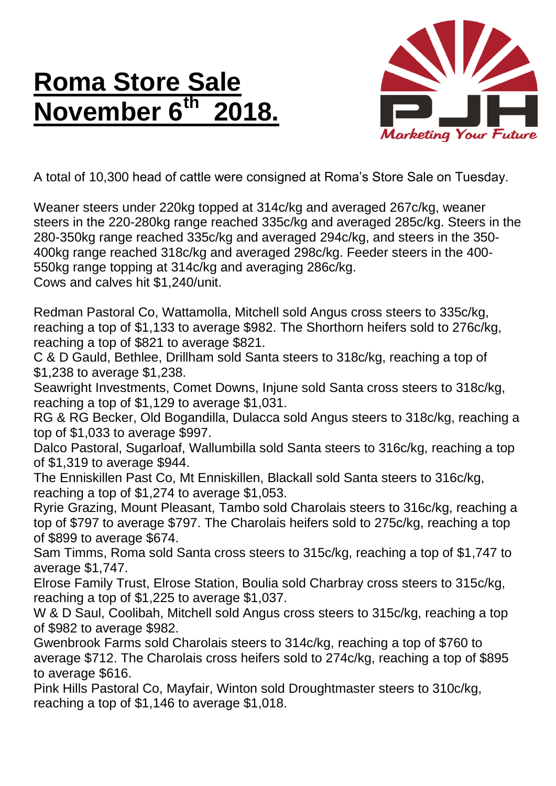## **Roma Store Sale November 6th 2018.**



A total of 10,300 head of cattle were consigned at Roma's Store Sale on Tuesday.

Weaner steers under 220kg topped at 314c/kg and averaged 267c/kg, weaner steers in the 220-280kg range reached 335c/kg and averaged 285c/kg. Steers in the 280-350kg range reached 335c/kg and averaged 294c/kg, and steers in the 350- 400kg range reached 318c/kg and averaged 298c/kg. Feeder steers in the 400- 550kg range topping at 314c/kg and averaging 286c/kg.

Cows and calves hit \$1,240/unit.

Redman Pastoral Co, Wattamolla, Mitchell sold Angus cross steers to 335c/kg, reaching a top of \$1,133 to average \$982. The Shorthorn heifers sold to 276c/kg, reaching a top of \$821 to average \$821.

C & D Gauld, Bethlee, Drillham sold Santa steers to 318c/kg, reaching a top of \$1,238 to average \$1,238.

Seawright Investments, Comet Downs, Injune sold Santa cross steers to 318c/kg, reaching a top of \$1,129 to average \$1,031.

RG & RG Becker, Old Bogandilla, Dulacca sold Angus steers to 318c/kg, reaching a top of \$1,033 to average \$997.

Dalco Pastoral, Sugarloaf, Wallumbilla sold Santa steers to 316c/kg, reaching a top of \$1,319 to average \$944.

The Enniskillen Past Co, Mt Enniskillen, Blackall sold Santa steers to 316c/kg, reaching a top of \$1,274 to average \$1,053.

Ryrie Grazing, Mount Pleasant, Tambo sold Charolais steers to 316c/kg, reaching a top of \$797 to average \$797. The Charolais heifers sold to 275c/kg, reaching a top of \$899 to average \$674.

Sam Timms, Roma sold Santa cross steers to 315c/kg, reaching a top of \$1,747 to average \$1,747.

Elrose Family Trust, Elrose Station, Boulia sold Charbray cross steers to 315c/kg, reaching a top of \$1,225 to average \$1,037.

W & D Saul, Coolibah, Mitchell sold Angus cross steers to 315c/kg, reaching a top of \$982 to average \$982.

Gwenbrook Farms sold Charolais steers to 314c/kg, reaching a top of \$760 to average \$712. The Charolais cross heifers sold to 274c/kg, reaching a top of \$895 to average \$616.

Pink Hills Pastoral Co, Mayfair, Winton sold Droughtmaster steers to 310c/kg, reaching a top of \$1,146 to average \$1,018.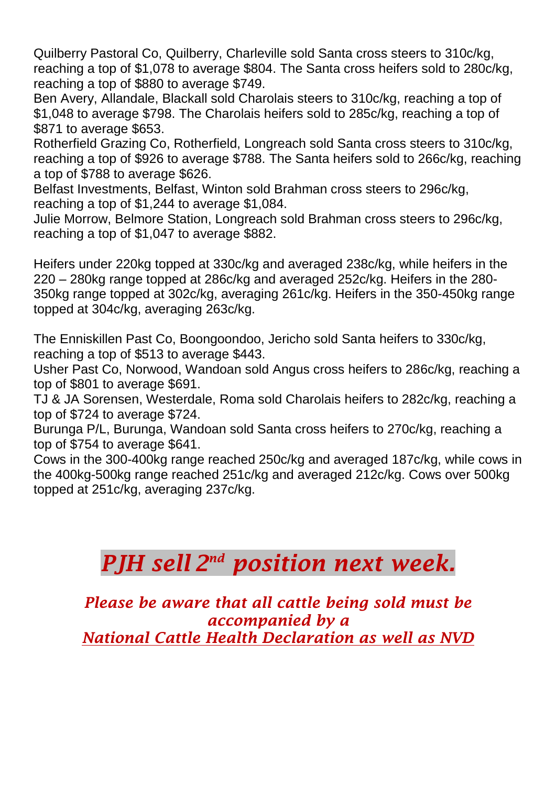Quilberry Pastoral Co, Quilberry, Charleville sold Santa cross steers to 310c/kg, reaching a top of \$1,078 to average \$804. The Santa cross heifers sold to 280c/kg, reaching a top of \$880 to average \$749.

Ben Avery, Allandale, Blackall sold Charolais steers to 310c/kg, reaching a top of \$1,048 to average \$798. The Charolais heifers sold to 285c/kg, reaching a top of \$871 to average \$653.

Rotherfield Grazing Co, Rotherfield, Longreach sold Santa cross steers to 310c/kg, reaching a top of \$926 to average \$788. The Santa heifers sold to 266c/kg, reaching a top of \$788 to average \$626.

Belfast Investments, Belfast, Winton sold Brahman cross steers to 296c/kg, reaching a top of \$1,244 to average \$1,084.

Julie Morrow, Belmore Station, Longreach sold Brahman cross steers to 296c/kg, reaching a top of \$1,047 to average \$882.

Heifers under 220kg topped at 330c/kg and averaged 238c/kg, while heifers in the 220 – 280kg range topped at 286c/kg and averaged 252c/kg. Heifers in the 280- 350kg range topped at 302c/kg, averaging 261c/kg. Heifers in the 350-450kg range topped at 304c/kg, averaging 263c/kg.

The Enniskillen Past Co, Boongoondoo, Jericho sold Santa heifers to 330c/kg, reaching a top of \$513 to average \$443.

Usher Past Co, Norwood, Wandoan sold Angus cross heifers to 286c/kg, reaching a top of \$801 to average \$691.

TJ & JA Sorensen, Westerdale, Roma sold Charolais heifers to 282c/kg, reaching a top of \$724 to average \$724.

Burunga P/L, Burunga, Wandoan sold Santa cross heifers to 270c/kg, reaching a top of \$754 to average \$641.

Cows in the 300-400kg range reached 250c/kg and averaged 187c/kg, while cows in the 400kg-500kg range reached 251c/kg and averaged 212c/kg. Cows over 500kg topped at 251c/kg, averaging 237c/kg.

## *PJH sell 2 nd position next week.*

*Please be aware that all cattle being sold must be accompanied by a National Cattle Health Declaration as well as NVD*